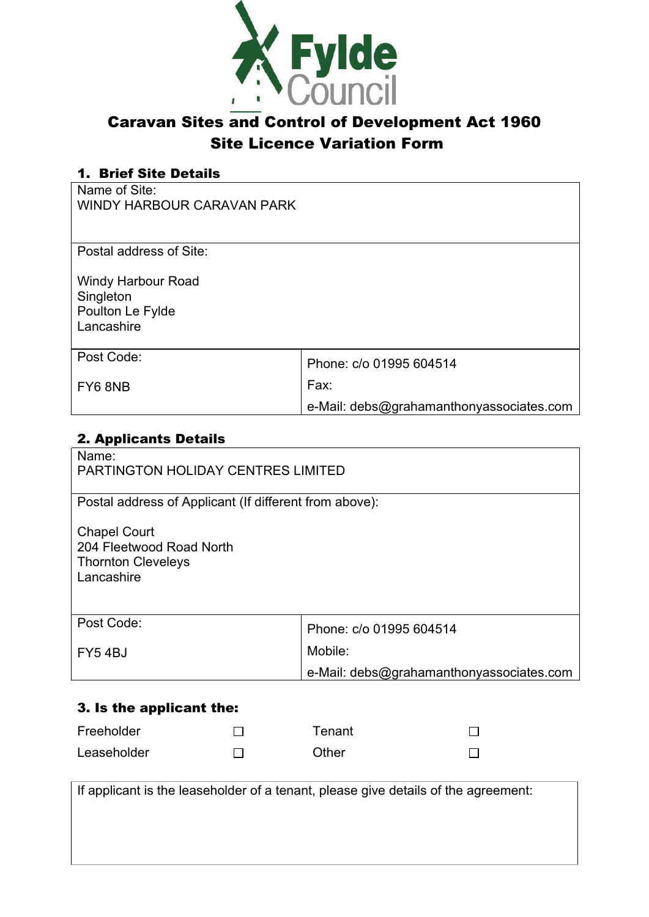

## Caravan Sites and Control of Development Act 1960 Site Licence Variation Form

#### 1. Brief Site Details

Name of Site: WINDY HARBOUR CARAVAN PARK

Postal address of Site:

Windy Harbour Road **Singleton** Poulton Le Fylde Lancashire

| Post Code: | Phone: c/o 01995 604514                  |
|------------|------------------------------------------|
| FY6 8NB    | Fax:                                     |
|            | e-Mail: debs@grahamanthonyassociates.com |

#### 2. Applicants Details

| Name:                                                                                      |                                          |  |
|--------------------------------------------------------------------------------------------|------------------------------------------|--|
| <b>PARTINGTON HOLIDAY CENTRES LIMITED</b>                                                  |                                          |  |
|                                                                                            |                                          |  |
| Postal address of Applicant (If different from above):                                     |                                          |  |
| <b>Chapel Court</b><br>204 Fleetwood Road North<br><b>Thornton Cleveleys</b><br>Lancashire |                                          |  |
| Post Code:                                                                                 | Phone: c/o 01995 604514                  |  |
| FY54BJ                                                                                     | Mobile:                                  |  |
|                                                                                            | e-Mail: debs@grahamanthonyassociates.com |  |
|                                                                                            |                                          |  |

### 3. Is the applicant the:

| Freeholder  | Tenant |  |
|-------------|--------|--|
| Leaseholder | Other  |  |

| If applicant is the leaseholder of a tenant, please give details of the agreement: |  |  |
|------------------------------------------------------------------------------------|--|--|
|                                                                                    |  |  |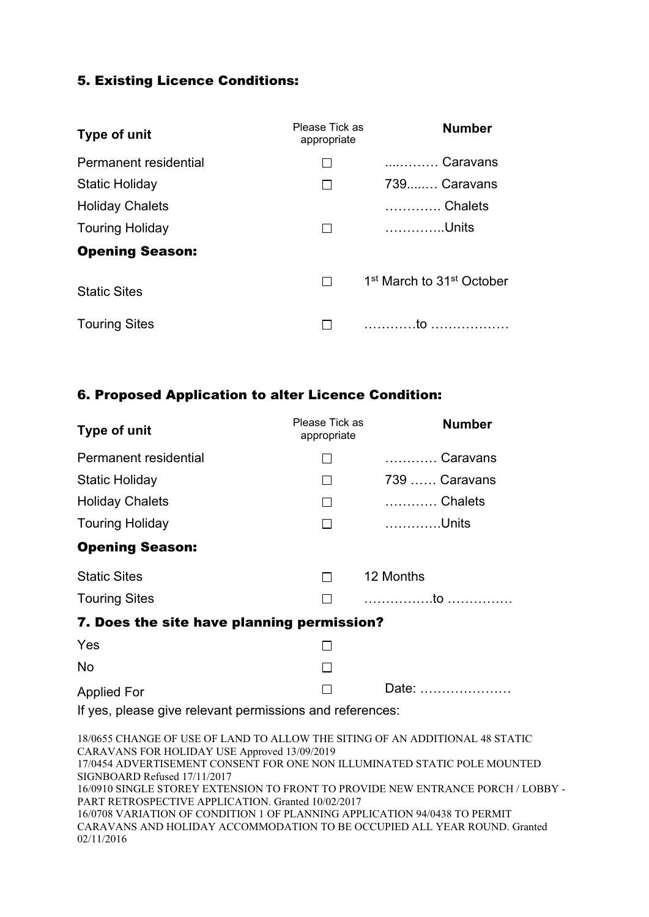#### 5. Existing Licence Conditions:

| Type of unit           | Please Tick as<br>appropriate | <b>Number</b>                                     |
|------------------------|-------------------------------|---------------------------------------------------|
| Permanent residential  |                               | Caravans                                          |
| Static Holiday         |                               | 739Caravans                                       |
| <b>Holiday Chalets</b> |                               | Chalets                                           |
| <b>Touring Holiday</b> |                               | Units                                             |
| <b>Opening Season:</b> |                               |                                                   |
| <b>Static Sites</b>    |                               | 1 <sup>st</sup> March to 31 <sup>st</sup> October |
| <b>Touring Sites</b>   |                               |                                                   |

#### 6. Proposed Application to alter Licence Condition:

| Type of unit                                             | Please Tick as<br>appropriate | <b>Number</b> |
|----------------------------------------------------------|-------------------------------|---------------|
| Permanent residential                                    |                               | Caravans      |
| <b>Static Holiday</b>                                    |                               | 739  Caravans |
| <b>Holiday Chalets</b>                                   | $\mathsf{L}$                  | Chalets       |
| <b>Touring Holiday</b>                                   |                               | Units         |
| <b>Opening Season:</b>                                   |                               |               |
| <b>Static Sites</b>                                      | $\perp$                       | 12 Months     |
| <b>Touring Sites</b>                                     |                               |               |
| 7. Does the site have planning permission?               |                               |               |
| Yes                                                      |                               |               |
| <b>No</b>                                                |                               |               |
| <b>Applied For</b>                                       |                               | Date:         |
| If yes, please give relevant permissions and references: |                               |               |

18/0655 CHANGE OF USE OF LAND TO ALLOW THE SITING OF AN ADDITIONAL 48 STATIC CARAVANS FOR HOLIDAY USE Approved 13/09/2019 17/0454 ADVERTISEMENT CONSENT FOR ONE NON ILLUMINATED STATIC POLE MOUNTED SIGNBOARD Refused 17/11/2017 16/0910 SINGLE STOREY EXTENSION TO FRONT TO PROVIDE NEW ENTRANCE PORCH / LOBBY PART RETROSPECTIVE APPLICATION. Granted 10/02/2017 16/0708 VARIATION OF CONDITION 1 OF PLANNING APPLICATION 94/0438 TO PERMIT CARAVANS AND HOLIDAY ACCOMMODATION TO BE OCCUPIED ALL YEAR ROUND. Granted 02/11/2016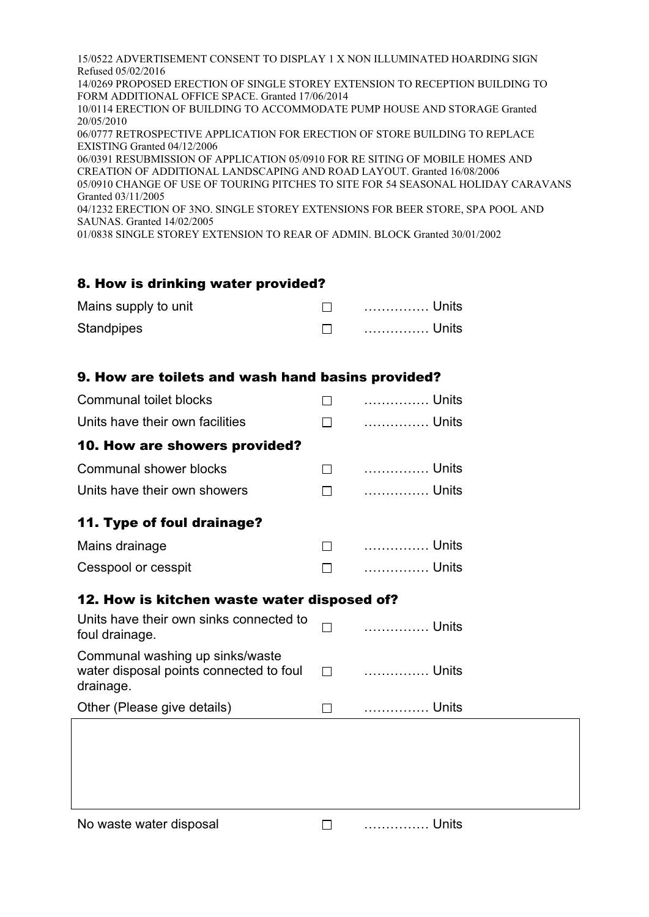15/0522 ADVERTISEMENT CONSENT TO DISPLAY 1 X NON ILLUMINATED HOARDING SIGN Refused 05/02/2016 14/0269 PROPOSED ERECTION OF SINGLE STOREY EXTENSION TO RECEPTION BUILDING TO FORM ADDITIONAL OFFICE SPACE. Granted 17/06/2014 10/0114 ERECTION OF BUILDING TO ACCOMMODATE PUMP HOUSE AND STORAGE Granted 20/05/2010 06/0777 RETROSPECTIVE APPLICATION FOR ERECTION OF STORE BUILDING TO REPLACE EXISTING Granted 04/12/2006 06/0391 RESUBMISSION OF APPLICATION 05/0910 FOR RE SITING OF MOBILE HOMES AND CREATION OF ADDITIONAL LANDSCAPING AND ROAD LAYOUT. Granted 16/08/2006 05/0910 CHANGE OF USE OF TOURING PITCHES TO SITE FOR 54 SEASONAL HOLIDAY CARAVANS Granted 03/11/2005 04/1232 ERECTION OF 3NO. SINGLE STOREY EXTENSIONS FOR BEER STORE, SPA POOL AND SAUNAS. Granted 14/02/2005 01/0838 SINGLE STOREY EXTENSION TO REAR OF ADMIN. BLOCK Granted 30/01/2002

#### 8. How is drinking water provided?

| Mains supply to unit | . Units |
|----------------------|---------|
| Standpipes           |         |

#### 9. How are toilets and wash hand basins provided?

| $\blacksquare$ | Units                                       |
|----------------|---------------------------------------------|
| $\Box$         | Units                                       |
|                |                                             |
| $\Box$         | Units                                       |
| П              | Units                                       |
|                |                                             |
| $\Box$         | Units                                       |
| П              | Units                                       |
|                |                                             |
|                | 12. How is kitchen waste water disposed of? |
|                | . Units                                     |
| $\Box$         | Units                                       |
| $\Box$         | Units                                       |
|                |                                             |
|                |                                             |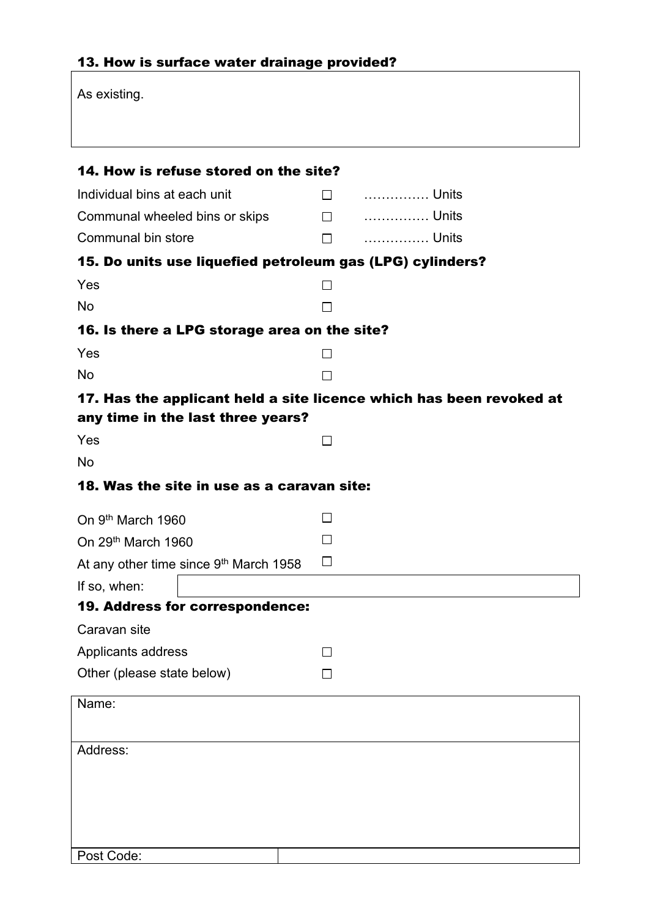# 13. How is surface water drainage provided?

| As existing.                                                                                             |              |                 |
|----------------------------------------------------------------------------------------------------------|--------------|-----------------|
| 14. How is refuse stored on the site?                                                                    |              |                 |
| Individual bins at each unit                                                                             |              | $\square$ Units |
| Communal wheeled bins or skips                                                                           |              | $\square$ Units |
| Communal bin store                                                                                       | $\Box$       | Units           |
| 15. Do units use liquefied petroleum gas (LPG) cylinders?                                                |              |                 |
| Yes                                                                                                      | $\mathsf{L}$ |                 |
| <b>No</b>                                                                                                |              |                 |
| 16. Is there a LPG storage area on the site?                                                             |              |                 |
| Yes                                                                                                      |              |                 |
| <b>No</b>                                                                                                | $\Box$       |                 |
| 17. Has the applicant held a site licence which has been revoked at<br>any time in the last three years? |              |                 |
| Yes                                                                                                      | $\perp$      |                 |
| <b>No</b>                                                                                                |              |                 |
| 18. Was the site in use as a caravan site:                                                               |              |                 |
| On 9th March 1960                                                                                        | $\perp$      |                 |
| On 29th March 1960                                                                                       |              |                 |
| At any other time since 9th March 1958                                                                   | $\Box$       |                 |
| If so, when:                                                                                             |              |                 |
| 19. Address for correspondence:                                                                          |              |                 |
| Caravan site                                                                                             |              |                 |
| Applicants address                                                                                       |              |                 |
| Other (please state below)                                                                               |              |                 |
| Name:                                                                                                    |              |                 |
|                                                                                                          |              |                 |
| Address:                                                                                                 |              |                 |
|                                                                                                          |              |                 |
|                                                                                                          |              |                 |
|                                                                                                          |              |                 |
| Post Code:                                                                                               |              |                 |